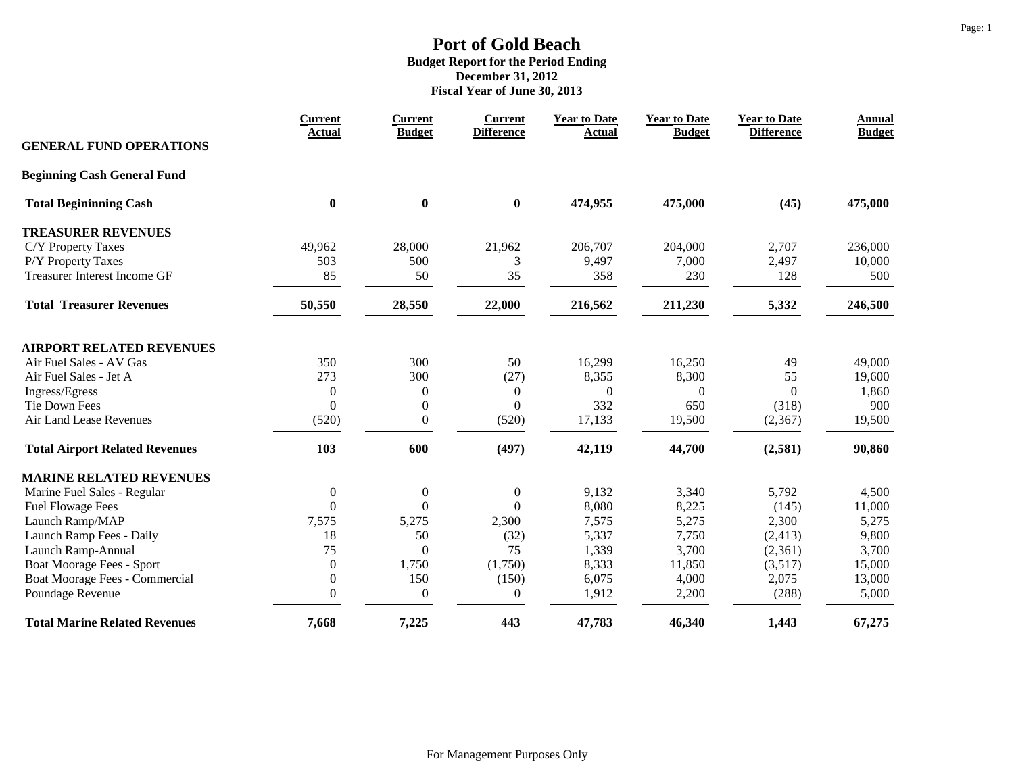|                                       | <b>Current</b><br><b>Actual</b> | <b>Current</b><br><b>Budget</b> | <b>Current</b><br><b>Difference</b> | <b>Year to Date</b><br><b>Actual</b> | <b>Year to Date</b><br><b>Budget</b> | <b>Year to Date</b><br><b>Difference</b> | <b>Annual</b><br><b>Budget</b> |
|---------------------------------------|---------------------------------|---------------------------------|-------------------------------------|--------------------------------------|--------------------------------------|------------------------------------------|--------------------------------|
| <b>GENERAL FUND OPERATIONS</b>        |                                 |                                 |                                     |                                      |                                      |                                          |                                |
| <b>Beginning Cash General Fund</b>    |                                 |                                 |                                     |                                      |                                      |                                          |                                |
| <b>Total Begininning Cash</b>         | $\bf{0}$                        | $\boldsymbol{0}$                | $\boldsymbol{0}$                    | 474,955                              | 475,000                              | (45)                                     | 475,000                        |
| <b>TREASURER REVENUES</b>             |                                 |                                 |                                     |                                      |                                      |                                          |                                |
| C/Y Property Taxes                    | 49,962                          | 28,000                          | 21,962                              | 206,707                              | 204,000                              | 2,707                                    | 236,000                        |
| P/Y Property Taxes                    | 503                             | 500                             | 3                                   | 9,497                                | 7,000                                | 2,497                                    | 10,000                         |
| <b>Treasurer Interest Income GF</b>   | 85                              | 50                              | 35                                  | 358                                  | 230                                  | 128                                      | 500                            |
| <b>Total Treasurer Revenues</b>       | 50,550                          | 28,550                          | 22,000                              | 216,562                              | 211,230                              | 5,332                                    | 246,500                        |
| <b>AIRPORT RELATED REVENUES</b>       |                                 |                                 |                                     |                                      |                                      |                                          |                                |
| Air Fuel Sales - AV Gas               | 350                             | 300                             | 50                                  | 16,299                               | 16,250                               | 49                                       | 49,000                         |
| Air Fuel Sales - Jet A                | 273                             | 300                             | (27)                                | 8,355                                | 8,300                                | 55                                       | 19,600                         |
| Ingress/Egress                        | $\theta$                        | $\boldsymbol{0}$                | $\mathbf{0}$                        | $\mathbf{0}$                         | $\Omega$                             | $\Omega$                                 | 1,860                          |
| <b>Tie Down Fees</b>                  | $\theta$                        | $\overline{0}$                  | $\Omega$                            | 332                                  | 650                                  | (318)                                    | 900                            |
| Air Land Lease Revenues               | (520)                           | $\overline{0}$                  | (520)                               | 17,133                               | 19,500                               | (2,367)                                  | 19,500                         |
| <b>Total Airport Related Revenues</b> | 103                             | 600                             | (497)                               | 42,119                               | 44,700                               | (2,581)                                  | 90,860                         |
| <b>MARINE RELATED REVENUES</b>        |                                 |                                 |                                     |                                      |                                      |                                          |                                |
| Marine Fuel Sales - Regular           | $\boldsymbol{0}$                | $\boldsymbol{0}$                | $\boldsymbol{0}$                    | 9,132                                | 3,340                                | 5,792                                    | 4,500                          |
| <b>Fuel Flowage Fees</b>              | $\theta$                        | $\Omega$                        | $\Omega$                            | 8,080                                | 8,225                                | (145)                                    | 11,000                         |
| Launch Ramp/MAP                       | 7,575                           | 5,275                           | 2,300                               | 7,575                                | 5,275                                | 2,300                                    | 5,275                          |
| Launch Ramp Fees - Daily              | 18                              | 50                              | (32)                                | 5,337                                | 7,750                                | (2, 413)                                 | 9,800                          |
| Launch Ramp-Annual                    | 75                              | $\Omega$                        | 75                                  | 1,339                                | 3,700                                | (2,361)                                  | 3,700                          |
| Boat Moorage Fees - Sport             | $\overline{0}$                  | 1,750                           | (1,750)                             | 8,333                                | 11,850                               | (3,517)                                  | 15,000                         |
| Boat Moorage Fees - Commercial        | $\mathbf{0}$                    | 150                             | (150)                               | 6,075                                | 4,000                                | 2,075                                    | 13,000                         |
| Poundage Revenue                      | $\Omega$                        | $\boldsymbol{0}$                | $\boldsymbol{0}$                    | 1,912                                | 2,200                                | (288)                                    | 5,000                          |
| <b>Total Marine Related Revenues</b>  | 7,668                           | 7,225                           | 443                                 | 47,783                               | 46,340                               | 1,443                                    | 67,275                         |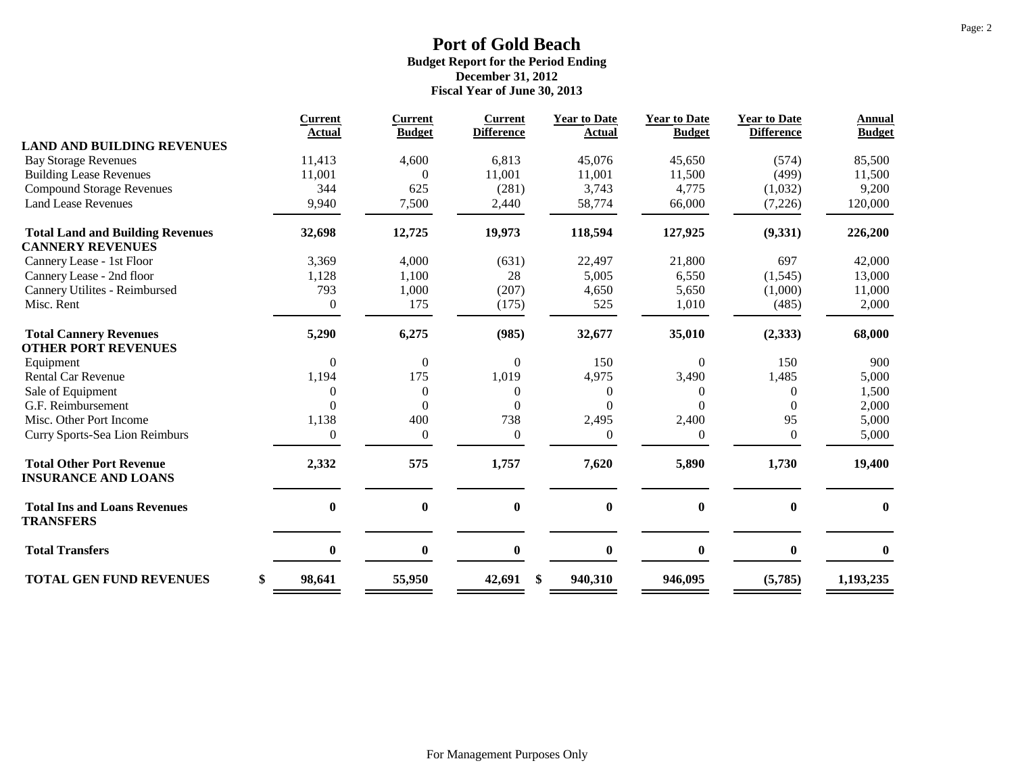|                                                               | <b>Current</b>   | <b>Current</b>   | <b>Current</b>    | <b>Year to Date</b> | <b>Year to Date</b> | <b>Year to Date</b> | <b>Annual</b> |
|---------------------------------------------------------------|------------------|------------------|-------------------|---------------------|---------------------|---------------------|---------------|
|                                                               | Actual           | <b>Budget</b>    | <b>Difference</b> | <b>Actual</b>       | <b>Budget</b>       | <b>Difference</b>   | <b>Budget</b> |
| <b>LAND AND BUILDING REVENUES</b>                             |                  |                  |                   |                     |                     |                     |               |
| <b>Bay Storage Revenues</b>                                   | 11,413           | 4,600            | 6,813             | 45,076              | 45,650              | (574)               | 85,500        |
| <b>Building Lease Revenues</b>                                | 11,001           |                  | 11,001            | 11,001              | 11,500              | (499)               | 11,500        |
| <b>Compound Storage Revenues</b>                              | 344              | 625              | (281)             | 3,743               | 4,775               | (1,032)             | 9,200         |
| <b>Land Lease Revenues</b>                                    | 9,940            | 7,500            | 2,440             | 58,774              | 66,000              | (7,226)             | 120,000       |
| <b>Total Land and Building Revenues</b>                       | 32,698           | 12,725           | 19,973            | 118,594             | 127,925             | (9, 331)            | 226,200       |
| <b>CANNERY REVENUES</b>                                       |                  |                  |                   |                     |                     |                     |               |
| Cannery Lease - 1st Floor                                     | 3,369            | 4,000            | (631)             | 22,497              | 21,800              | 697                 | 42,000        |
| Cannery Lease - 2nd floor                                     | 1,128            | 1,100            | 28                | 5,005               | 6,550               | (1, 545)            | 13,000        |
| Cannery Utilites - Reimbursed                                 | 793              | 1,000            | (207)             | 4,650               | 5,650               | (1,000)             | 11,000        |
| Misc. Rent                                                    | $\boldsymbol{0}$ | 175              | (175)             | 525                 | 1,010               | (485)               | 2,000         |
| <b>Total Cannery Revenues</b>                                 | 5,290            | 6,275            | (985)             | 32,677              | 35,010              | (2, 333)            | 68,000        |
| <b>OTHER PORT REVENUES</b>                                    |                  |                  |                   |                     |                     |                     |               |
| Equipment                                                     | $\overline{0}$   | $\boldsymbol{0}$ | $\boldsymbol{0}$  | 150                 | $\mathbf{0}$        | 150                 | 900           |
| <b>Rental Car Revenue</b>                                     | 1,194            | 175              | 1,019             | 4,975               | 3,490               | 1,485               | 5,000         |
| Sale of Equipment                                             | 0                | $\overline{0}$   | $\Omega$          | $\overline{0}$      | 0                   | $\Omega$            | 1,500         |
| G.F. Reimbursement                                            | $\theta$         | $\Omega$         | $\Omega$          | $\Omega$            |                     | 0                   | 2,000         |
| Misc. Other Port Income                                       | 1,138            | 400              | 738               | 2,495               | 2,400               | 95                  | 5,000         |
| Curry Sports-Sea Lion Reimburs                                | $\boldsymbol{0}$ | $\boldsymbol{0}$ | $\mathbf{0}$      | $\theta$            | $\theta$            | $\boldsymbol{0}$    | 5,000         |
| <b>Total Other Port Revenue</b><br><b>INSURANCE AND LOANS</b> | 2,332            | 575              | 1,757             | 7,620               | 5,890               | 1,730               | 19,400        |
| <b>Total Ins and Loans Revenues</b><br><b>TRANSFERS</b>       | $\bf{0}$         | $\bf{0}$         | $\bf{0}$          | $\bf{0}$            | $\bf{0}$            | $\mathbf{0}$        | $\mathbf{0}$  |
| <b>Total Transfers</b>                                        | $\bf{0}$         | $\bf{0}$         | $\bf{0}$          | $\bf{0}$            | $\boldsymbol{0}$    | $\bf{0}$            | $\bf{0}$      |
| <b>TOTAL GEN FUND REVENUES</b>                                | \$<br>98,641     | 55,950           | \$<br>42,691      | 940,310             | 946,095             | (5,785)             | 1,193,235     |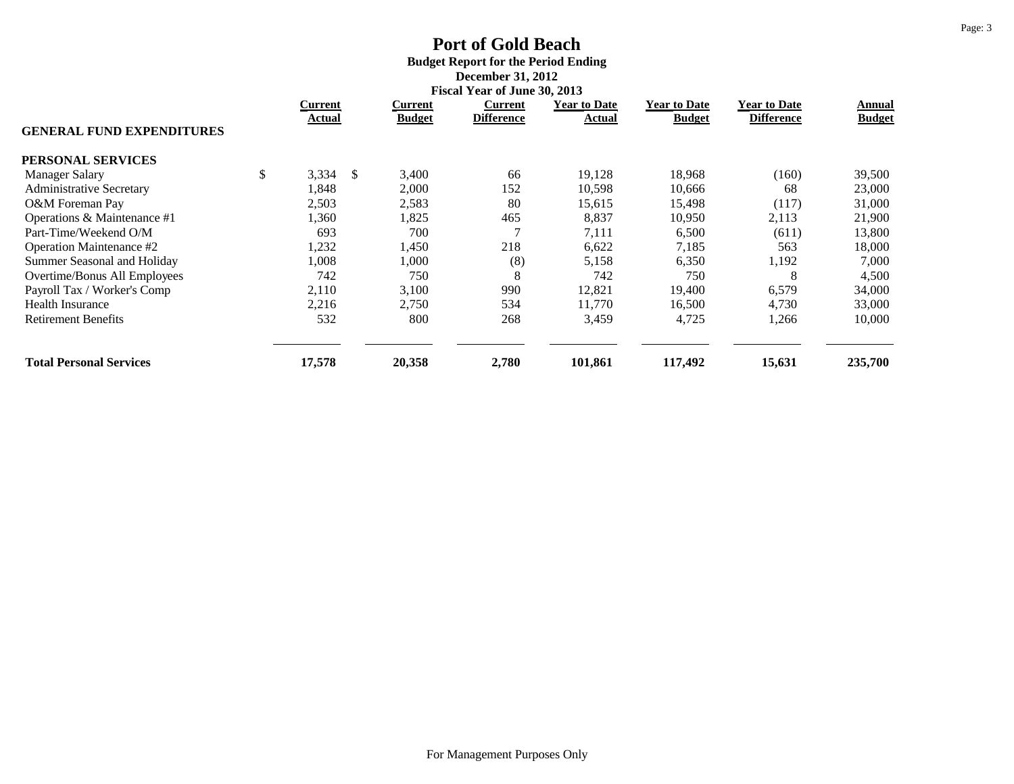# **Port of Gold Beach Budget Report for the Period Ending December 31, 2012**

|                                  | <b>Fiscal Year of June 30, 2013</b> |    |               |                   |                     |                     |                     |               |
|----------------------------------|-------------------------------------|----|---------------|-------------------|---------------------|---------------------|---------------------|---------------|
|                                  | Current                             |    | Current       | Current           | <b>Year to Date</b> | <b>Year to Date</b> | <b>Year to Date</b> | Annual        |
| <b>GENERAL FUND EXPENDITURES</b> | Actual                              |    | <b>Budget</b> | <b>Difference</b> | Actual              | <b>Budget</b>       | <b>Difference</b>   | <b>Budget</b> |
| PERSONAL SERVICES                |                                     |    |               |                   |                     |                     |                     |               |
| <b>Manager Salary</b>            | \$<br>3,334                         | -S | 3,400         | 66                | 19,128              | 18,968              | (160)               | 39,500        |
| <b>Administrative Secretary</b>  | 1,848                               |    | 2,000         | 152               | 10,598              | 10,666              | 68                  | 23,000        |
| O&M Foreman Pay                  | 2,503                               |    | 2,583         | 80                | 15,615              | 15,498              | (117)               | 31,000        |
| Operations & Maintenance #1      | 1,360                               |    | 1,825         | 465               | 8,837               | 10,950              | 2,113               | 21,900        |
| Part-Time/Weekend O/M            | 693                                 |    | 700           |                   | 7,111               | 6,500               | (611)               | 13,800        |
| Operation Maintenance #2         | 1,232                               |    | l,450         | 218               | 6,622               | 7,185               | 563                 | 18,000        |
| Summer Seasonal and Holiday      | 1,008                               |    | 1,000         | (8)               | 5,158               | 6,350               | 1,192               | 7,000         |
| Overtime/Bonus All Employees     | 742                                 |    | 750           | 8                 | 742                 | 750                 | 8                   | 4,500         |
| Payroll Tax / Worker's Comp      | 2,110                               |    | 3,100         | 990               | 12,821              | 19,400              | 6,579               | 34,000        |
| <b>Health Insurance</b>          | 2,216                               |    | 2,750         | 534               | 11.770              | 16,500              | 4,730               | 33,000        |
| <b>Retirement Benefits</b>       | 532                                 |    | 800           | 268               | 3,459               | 4,725               | 1,266               | 10,000        |
| <b>Total Personal Services</b>   | 17,578                              |    | 20,358        | 2,780             | 101,861             | 117,492             | 15,631              | 235,700       |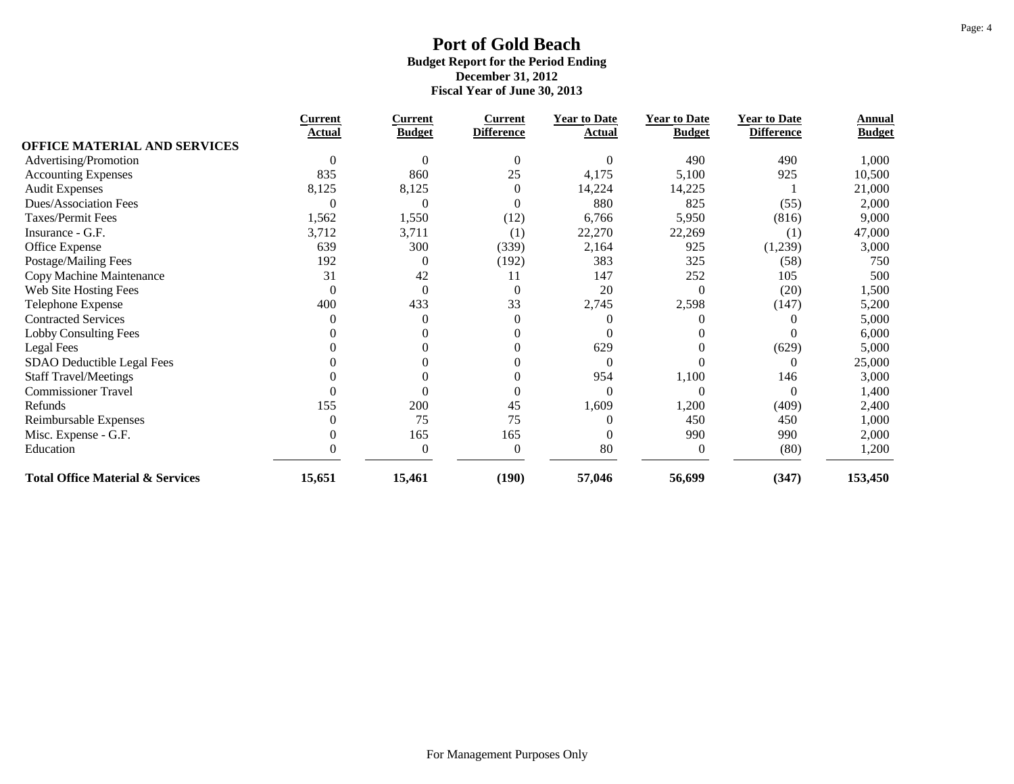|                                             | <b>Current</b> | <b>Current</b>   | <b>Current</b>    | <b>Year to Date</b> | <b>Year to Date</b> | <b>Year to Date</b> | Annual        |
|---------------------------------------------|----------------|------------------|-------------------|---------------------|---------------------|---------------------|---------------|
| <b>OFFICE MATERIAL AND SERVICES</b>         | Actual         | <b>Budget</b>    | <b>Difference</b> | Actual              | <b>Budget</b>       | <b>Difference</b>   | <b>Budget</b> |
|                                             |                | 0                | $\Omega$          | $\Omega$            | 490                 | 490                 |               |
| Advertising/Promotion                       |                |                  |                   |                     |                     |                     | 1,000         |
| <b>Accounting Expenses</b>                  | 835            | 860              | 25                | 4,175               | 5,100               | 925                 | 10,500        |
| <b>Audit Expenses</b>                       | 8,125          | 8,125            | $\mathbf{0}$      | 14,224              | 14,225              |                     | 21,000        |
| Dues/Association Fees                       | $\Omega$       | C                | $\theta$          | 880                 | 825                 | (55)                | 2,000         |
| Taxes/Permit Fees                           | 1,562          | 1,550            | (12)              | 6,766               | 5,950               | (816)               | 9,000         |
| Insurance - G.F.                            | 3,712          | 3,711            | (1)               | 22,270              | 22,269              | (1)                 | 47,000        |
| Office Expense                              | 639            | 300              | (339)             | 2,164               | 925                 | (1,239)             | 3,000         |
| Postage/Mailing Fees                        | 192            | $\theta$         | (192)             | 383                 | 325                 | (58)                | 750           |
| Copy Machine Maintenance                    | 31             | 42               | 11                | 147                 | 252                 | 105                 | 500           |
| Web Site Hosting Fees                       | $\theta$       | $\boldsymbol{0}$ | $\mathbf{0}$      | 20                  | 0                   | (20)                | 1,500         |
| Telephone Expense                           | 400            | 433              | 33                | 2,745               | 2,598               | (147)               | 5,200         |
| <b>Contracted Services</b>                  |                | 0                | $\Omega$          |                     |                     |                     | 5,000         |
| Lobby Consulting Fees                       |                |                  | 0                 |                     |                     |                     | 6,000         |
| Legal Fees                                  |                |                  | $\mathbf{0}$      | 629                 |                     | (629)               | 5,000         |
| SDAO Deductible Legal Fees                  |                |                  | $\mathbf{0}$      | $\theta$            |                     | $\theta$            | 25,000        |
| <b>Staff Travel/Meetings</b>                |                |                  | $\theta$          | 954                 | 1,100               | 146                 | 3,000         |
| <b>Commissioner Travel</b>                  |                |                  | $\theta$          | $\theta$            | 0                   | $\Omega$            | 1,400         |
| Refunds                                     | 155            | 200              | 45                | 1,609               | 1,200               | (409)               | 2,400         |
| Reimbursable Expenses                       | 0              | 75               | 75                |                     | 450                 | 450                 | 1,000         |
| Misc. Expense - G.F.                        |                | 165              | 165               |                     | 990                 | 990                 | 2,000         |
| Education                                   |                | $\overline{0}$   | $\theta$          | 80                  | 0                   | (80)                | 1,200         |
| <b>Total Office Material &amp; Services</b> | 15,651         | 15,461           | (190)             | 57,046              | 56,699              | (347)               | 153,450       |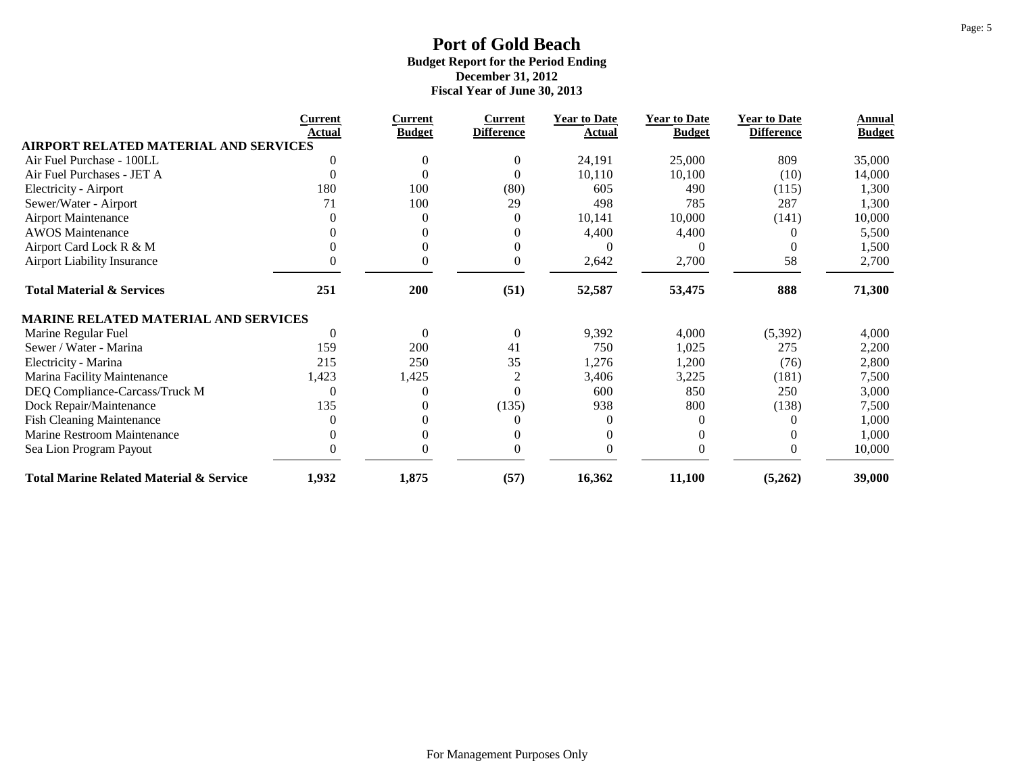|                                                    | <b>Current</b> | <b>Current</b> | <b>Current</b>    | <b>Year to Date</b> | <b>Year to Date</b> | <b>Year to Date</b> | Annual        |
|----------------------------------------------------|----------------|----------------|-------------------|---------------------|---------------------|---------------------|---------------|
| <b>AIRPORT RELATED MATERIAL AND SERVICES</b>       | Actual         | <b>Budget</b>  | <b>Difference</b> | Actual              | <b>Budget</b>       | <b>Difference</b>   | <b>Budget</b> |
| Air Fuel Purchase - 100LL                          | 0              |                | $\mathbf{0}$      | 24,191              | 25,000              | 809                 | 35,000        |
| Air Fuel Purchases - JET A                         |                |                | $\Omega$          |                     |                     |                     |               |
|                                                    |                |                |                   | 10,110              | 10,100              | (10)                | 14,000        |
| <b>Electricity - Airport</b>                       | 180            | 100            | (80)              | 605                 | 490                 | (115)               | 1,300         |
| Sewer/Water - Airport                              | 71             | 100            | 29                | 498                 | 785                 | 287                 | 1,300         |
| <b>Airport Maintenance</b>                         |                | 0              | $\mathbf{0}$      | 10,141              | 10,000              | (141)               | 10,000        |
| <b>AWOS</b> Maintenance                            |                |                | $\Omega$          | 4,400               | 4,400               |                     | 5,500         |
| Airport Card Lock R & M                            |                |                | $\theta$          |                     |                     |                     | 1,500         |
| <b>Airport Liability Insurance</b>                 | 0              | 0              | $\boldsymbol{0}$  | 2,642               | 2,700               | 58                  | 2,700         |
| <b>Total Material &amp; Services</b>               | 251            | 200            | (51)              | 52,587              | 53,475              | 888                 | 71,300        |
| MARINE RELATED MATERIAL AND SERVICES               |                |                |                   |                     |                     |                     |               |
| Marine Regular Fuel                                | $\theta$       | $\theta$       | $\mathbf{0}$      | 9,392               | 4,000               | (5,392)             | 4,000         |
| Sewer / Water - Marina                             | 159            | 200            | 41                | 750                 | 1,025               | 275                 | 2,200         |
| Electricity - Marina                               | 215            | 250            | 35                | 1,276               | 1,200               | (76)                | 2,800         |
| Marina Facility Maintenance                        | 1,423          | 1,425          | $\overline{c}$    | 3,406               | 3,225               | (181)               | 7,500         |
| DEQ Compliance-Carcass/Truck M                     | $\theta$       |                | $\Omega$          | 600                 | 850                 | 250                 | 3,000         |
| Dock Repair/Maintenance                            | 135            |                | (135)             | 938                 | 800                 | (138)               | 7,500         |
| <b>Fish Cleaning Maintenance</b>                   |                |                | $\Omega$          |                     |                     |                     | 1,000         |
| Marine Restroom Maintenance                        |                |                | $\Omega$          |                     |                     |                     | 1,000         |
| Sea Lion Program Payout                            |                |                | 0                 |                     |                     |                     | 10,000        |
| <b>Total Marine Related Material &amp; Service</b> | 1,932          | 1,875          | (57)              | 16,362              | 11,100              | (5,262)             | 39,000        |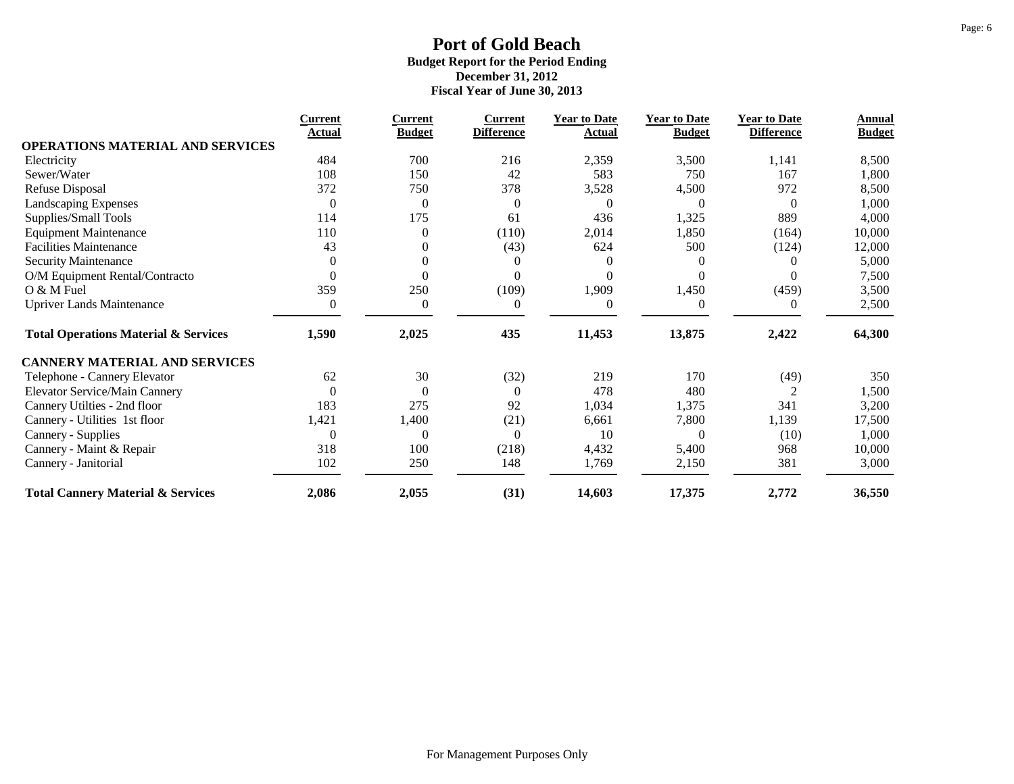|                                                 | <b>Current</b> | <b>Current</b>   | <u>Current</u>    | <b>Year to Date</b> | <b>Year to Date</b> | <b>Year to Date</b> | Annual        |
|-------------------------------------------------|----------------|------------------|-------------------|---------------------|---------------------|---------------------|---------------|
| OPERATIONS MATERIAL AND SERVICES                | Actual         | <b>Budget</b>    | <b>Difference</b> | Actual              | <b>Budget</b>       | <b>Difference</b>   | <b>Budget</b> |
| Electricity                                     | 484            | 700              | 216               | 2,359               | 3,500               | 1,141               | 8,500         |
| Sewer/Water                                     | 108            | 150              | 42                | 583                 | 750                 | 167                 | 1,800         |
| <b>Refuse Disposal</b>                          | 372            | 750              | 378               | 3,528               | 4,500               | 972                 | 8,500         |
| Landscaping Expenses                            | $\overline{0}$ | $\boldsymbol{0}$ | $\boldsymbol{0}$  | $\overline{0}$      | $\Omega$            | $\overline{0}$      | 1,000         |
| Supplies/Small Tools                            | 114            | 175              | 61                | 436                 | 1,325               | 889                 | 4,000         |
| <b>Equipment Maintenance</b>                    | 110            | $\mathbf{0}$     | (110)             | 2,014               | 1,850               | (164)               | 10,000        |
| <b>Facilities Maintenance</b>                   | 43             | $\theta$         | (43)              | 624                 | 500                 | (124)               | 12,000        |
| Security Maintenance                            | $\theta$       |                  | 0                 |                     |                     |                     | 5,000         |
| O/M Equipment Rental/Contracto                  | $\Omega$       |                  | $\Omega$          |                     |                     |                     | 7,500         |
| O & M Fuel                                      | 359            | 250              | (109)             | 1,909               | 1,450               | (459)               | 3,500         |
| <b>Upriver Lands Maintenance</b>                | $\overline{0}$ | $\mathbf{0}$     | $\mathbf{0}$      | $\Omega$            |                     | $\theta$            | 2,500         |
| <b>Total Operations Material &amp; Services</b> | 1,590          | 2,025            | 435               | 11,453              | 13,875              | 2,422               | 64,300        |
| <b>CANNERY MATERIAL AND SERVICES</b>            |                |                  |                   |                     |                     |                     |               |
| Telephone - Cannery Elevator                    | 62             | 30               | (32)              | 219                 | 170                 | (49)                | 350           |
| <b>Elevator Service/Main Cannery</b>            | $\overline{0}$ | $\overline{0}$   | $\mathbf{0}$      | 478                 | 480                 |                     | 1,500         |
| Cannery Utilties - 2nd floor                    | 183            | 275              | 92                | 1,034               | 1,375               | 341                 | 3,200         |
| Cannery - Utilities 1st floor                   | 1,421          | 1,400            | (21)              | 6,661               | 7,800               | 1,139               | 17,500        |
| Cannery - Supplies                              | 0              | $\theta$         | $\mathbf{0}$      | 10                  | $\Omega$            | (10)                | 1,000         |
| Cannery - Maint & Repair                        | 318            | 100              | (218)             | 4,432               | 5,400               | 968                 | 10,000        |
| Cannery - Janitorial                            | 102            | 250              | 148               | 1,769               | 2,150               | 381                 | 3,000         |
| <b>Total Cannery Material &amp; Services</b>    | 2,086          | 2,055            | (31)              | 14,603              | 17,375              | 2,772               | 36,550        |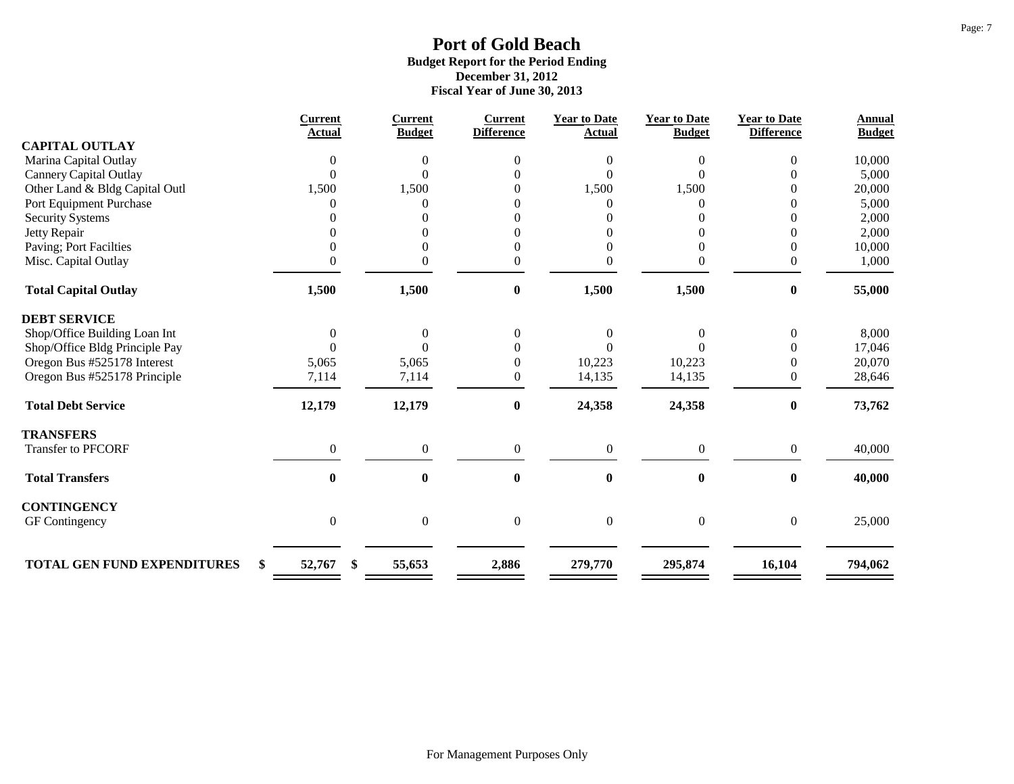|                                    | <b>Current</b><br>Actual | Current<br><b>Budget</b> | <b>Current</b><br><b>Difference</b> | <b>Year to Date</b><br><b>Actual</b> | <b>Year to Date</b><br><b>Budget</b> | <b>Year to Date</b><br><b>Difference</b> | <b>Annual</b><br><b>Budget</b> |
|------------------------------------|--------------------------|--------------------------|-------------------------------------|--------------------------------------|--------------------------------------|------------------------------------------|--------------------------------|
| <b>CAPITAL OUTLAY</b>              |                          |                          |                                     |                                      |                                      |                                          |                                |
| Marina Capital Outlay              | $\theta$                 | $\overline{0}$           | $\Omega$                            | 0                                    | 0                                    | $\Omega$                                 | 10,000                         |
| <b>Cannery Capital Outlay</b>      | $\theta$                 | $\Omega$                 |                                     | $\Omega$                             |                                      |                                          | 5,000                          |
| Other Land & Bldg Capital Outl     | 1,500                    | 1,500                    | 0                                   | 1,500                                | 1,500                                |                                          | 20,000                         |
| Port Equipment Purchase            |                          |                          | $\Omega$                            |                                      |                                      | $\Omega$                                 | 5,000                          |
| <b>Security Systems</b>            |                          |                          | $\Omega$                            |                                      |                                      |                                          | 2,000                          |
| Jetty Repair                       |                          |                          | $\Omega$                            |                                      |                                      | $\Omega$                                 | 2,000                          |
| Paving; Port Facilties             |                          | 0                        | $\mathbf{0}$                        | 0                                    | 0                                    | $\Omega$                                 | 10,000                         |
| Misc. Capital Outlay               | 0                        | $\boldsymbol{0}$         | $\boldsymbol{0}$                    | $\boldsymbol{0}$                     | 0                                    | $\boldsymbol{0}$                         | 1,000                          |
| <b>Total Capital Outlay</b>        | 1,500                    | 1,500                    | $\bf{0}$                            | 1,500                                | 1,500                                | $\bf{0}$                                 | 55,000                         |
| <b>DEBT SERVICE</b>                |                          |                          |                                     |                                      |                                      |                                          |                                |
| Shop/Office Building Loan Int      | $\boldsymbol{0}$         | $\boldsymbol{0}$         | $\boldsymbol{0}$                    | $\Omega$                             | 0                                    | $\theta$                                 | 8,000                          |
| Shop/Office Bldg Principle Pay     | $\Omega$                 | $\Omega$                 | $\Omega$                            |                                      |                                      | 0                                        | 17,046                         |
| Oregon Bus #525178 Interest        | 5,065                    | 5,065                    | $\mathbf{0}$                        | 10,223                               | 10,223                               | $\Omega$                                 | 20,070                         |
| Oregon Bus #525178 Principle       | 7,114                    | 7,114                    | $\mathbf{0}$                        | 14,135                               | 14,135                               | $\Omega$                                 | 28,646                         |
| <b>Total Debt Service</b>          | 12,179                   | 12,179                   | $\boldsymbol{0}$                    | 24,358                               | 24,358                               | $\boldsymbol{0}$                         | 73,762                         |
| <b>TRANSFERS</b>                   |                          |                          |                                     |                                      |                                      |                                          |                                |
| Transfer to PFCORF                 | $\boldsymbol{0}$         | $\boldsymbol{0}$         | $\boldsymbol{0}$                    | $\boldsymbol{0}$                     | $\boldsymbol{0}$                     | $\boldsymbol{0}$                         | 40,000                         |
| <b>Total Transfers</b>             | $\boldsymbol{0}$         | $\bf{0}$                 | $\bf{0}$                            | $\bf{0}$                             | $\bf{0}$                             | $\bf{0}$                                 | 40,000                         |
| <b>CONTINGENCY</b>                 |                          |                          |                                     |                                      |                                      |                                          |                                |
| GF Contingency                     | $\boldsymbol{0}$         | $\boldsymbol{0}$         | $\boldsymbol{0}$                    | $\boldsymbol{0}$                     | $\overline{0}$                       | $\overline{0}$                           | 25,000                         |
|                                    |                          |                          |                                     |                                      |                                      |                                          |                                |
| <b>TOTAL GEN FUND EXPENDITURES</b> | \$<br>52,767             | \$<br>55,653             | 2,886                               | 279,770                              | 295,874                              | 16,104                                   | 794,062                        |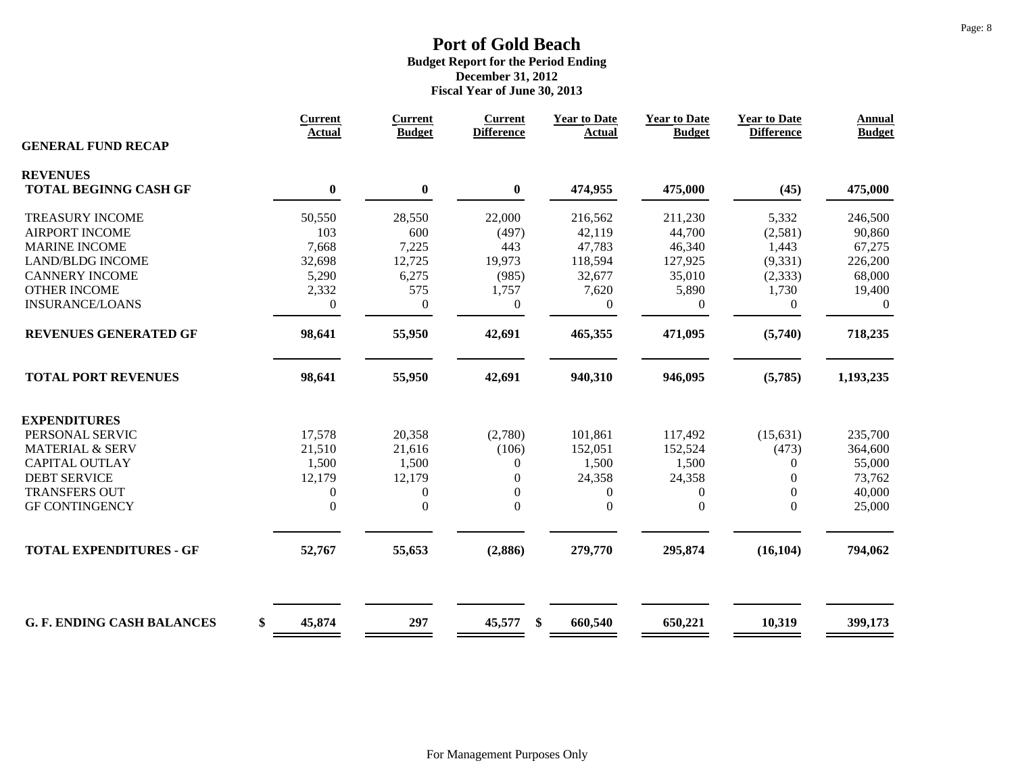|                                   | <b>Current</b><br><b>Actual</b> | <b>Current</b><br><b>Budget</b> | <b>Current</b><br><b>Difference</b> | <b>Year to Date</b><br><b>Actual</b> | <b>Year to Date</b><br><b>Budget</b> | <b>Year to Date</b><br><b>Difference</b> | <b>Annual</b><br><b>Budget</b> |
|-----------------------------------|---------------------------------|---------------------------------|-------------------------------------|--------------------------------------|--------------------------------------|------------------------------------------|--------------------------------|
| <b>GENERAL FUND RECAP</b>         |                                 |                                 |                                     |                                      |                                      |                                          |                                |
| <b>REVENUES</b>                   |                                 |                                 |                                     |                                      |                                      |                                          |                                |
| <b>TOTAL BEGINNG CASH GF</b>      | $\bf{0}$                        | $\boldsymbol{0}$                | $\bf{0}$                            | 474,955                              | 475,000                              | (45)                                     | 475,000                        |
| <b>TREASURY INCOME</b>            | 50,550                          | 28,550                          | 22,000                              | 216,562                              | 211,230                              | 5,332                                    | 246,500                        |
| <b>AIRPORT INCOME</b>             | 103                             | 600                             | (497)                               | 42,119                               | 44,700                               | (2,581)                                  | 90,860                         |
| <b>MARINE INCOME</b>              | 7,668                           | 7,225                           | 443                                 | 47,783                               | 46,340                               | 1,443                                    | 67,275                         |
| <b>LAND/BLDG INCOME</b>           | 32,698                          | 12,725                          | 19,973                              | 118,594                              | 127,925                              | (9, 331)                                 | 226,200                        |
| <b>CANNERY INCOME</b>             | 5,290                           | 6,275                           | (985)                               | 32,677                               | 35,010                               | (2, 333)                                 | 68,000                         |
| <b>OTHER INCOME</b>               | 2,332                           | 575                             | 1,757                               | 7,620                                | 5,890                                | 1,730                                    | 19,400                         |
| <b>INSURANCE/LOANS</b>            | $\mathbf{0}$                    | $\boldsymbol{0}$                | $\boldsymbol{0}$                    | $\overline{0}$                       | $\mathbf{0}$                         | $\overline{0}$                           | $\overline{0}$                 |
| <b>REVENUES GENERATED GF</b>      | 98,641                          | 55,950                          | 42,691                              | 465,355                              | 471,095                              | (5,740)                                  | 718,235                        |
| <b>TOTAL PORT REVENUES</b>        | 98,641                          | 55,950                          | 42,691                              | 940,310                              | 946,095                              | (5,785)                                  | 1,193,235                      |
| <b>EXPENDITURES</b>               |                                 |                                 |                                     |                                      |                                      |                                          |                                |
| PERSONAL SERVIC                   | 17,578                          | 20,358                          | (2,780)                             | 101,861                              | 117,492                              | (15, 631)                                | 235,700                        |
| <b>MATERIAL &amp; SERV</b>        | 21,510                          | 21,616                          | (106)                               | 152,051                              | 152,524                              | (473)                                    | 364,600                        |
| <b>CAPITAL OUTLAY</b>             | 1,500                           | 1,500                           | $\overline{0}$                      | 1,500                                | 1,500                                | $\overline{0}$                           | 55,000                         |
| <b>DEBT SERVICE</b>               | 12,179                          | 12,179                          | $\overline{0}$                      | 24,358                               | 24,358                               | $\overline{0}$                           | 73,762                         |
| <b>TRANSFERS OUT</b>              | 0                               | $\boldsymbol{0}$                | $\boldsymbol{0}$                    | $\mathbf{0}$                         | $\boldsymbol{0}$                     | $\overline{0}$                           | 40,000                         |
| <b>GF CONTINGENCY</b>             | $\Omega$                        | $\boldsymbol{0}$                | $\boldsymbol{0}$                    | $\mathbf{0}$                         | $\boldsymbol{0}$                     | $\overline{0}$                           | 25,000                         |
|                                   |                                 |                                 |                                     |                                      |                                      |                                          |                                |
| <b>TOTAL EXPENDITURES - GF</b>    | 52,767                          | 55,653                          | (2,886)                             | 279,770                              | 295,874                              | (16, 104)                                | 794,062                        |
| <b>G. F. ENDING CASH BALANCES</b> | \$<br>45,874                    | 297                             | 45,577<br>\$                        | 660,540                              | 650,221                              | 10,319                                   | 399,173                        |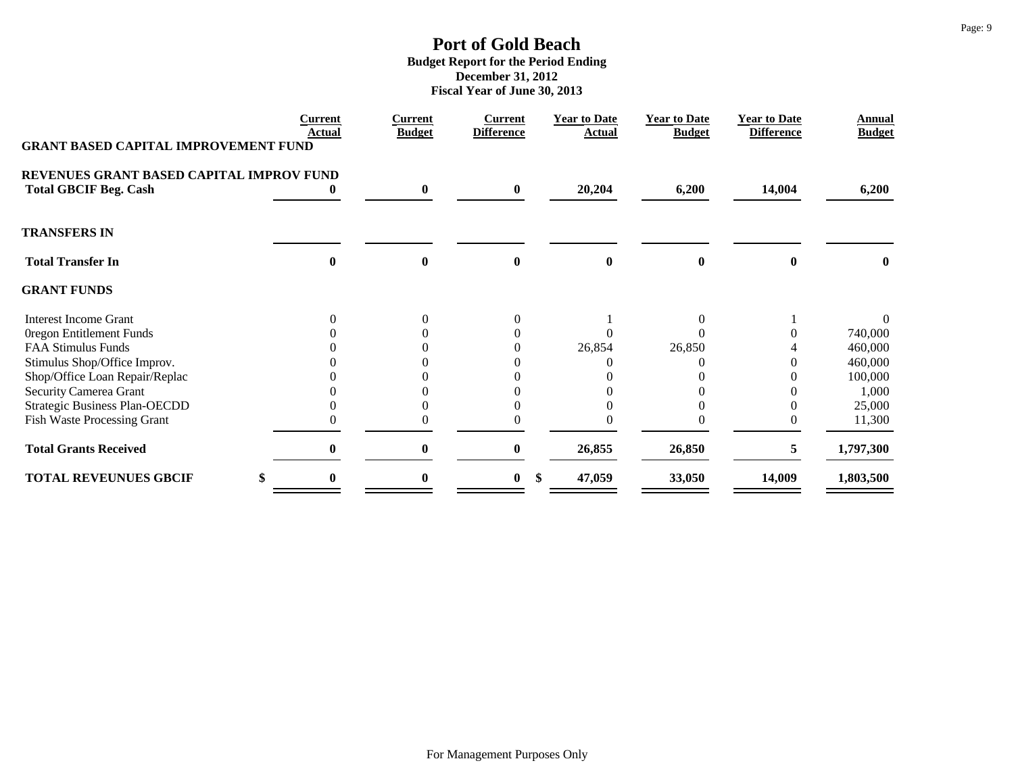| <b>GRANT BASED CAPITAL IMPROVEMENT FUND</b>                              | <b>Current</b><br>Actual | <b>Current</b><br><b>Budget</b> | <b>Current</b><br><b>Difference</b> | <b>Year to Date</b><br><b>Actual</b> | <b>Year to Date</b><br><b>Budget</b> | <b>Year to Date</b><br><b>Difference</b> | Annual<br><b>Budget</b> |
|--------------------------------------------------------------------------|--------------------------|---------------------------------|-------------------------------------|--------------------------------------|--------------------------------------|------------------------------------------|-------------------------|
| REVENUES GRANT BASED CAPITAL IMPROV FUND<br><b>Total GBCIF Beg. Cash</b> |                          | $\bf{0}$                        | $\bf{0}$                            | 20,204                               | 6,200                                | 14,004                                   | 6,200                   |
| <b>TRANSFERS IN</b>                                                      |                          |                                 |                                     |                                      |                                      |                                          |                         |
| <b>Total Transfer In</b>                                                 | 0                        | $\bf{0}$                        | $\bf{0}$                            | 0                                    | 0                                    | 0                                        | 0                       |
| <b>GRANT FUNDS</b>                                                       |                          |                                 |                                     |                                      |                                      |                                          |                         |
| <b>Interest Income Grant</b>                                             |                          | $\Omega$                        | $\Omega$                            |                                      |                                      |                                          |                         |
| Oregon Entitlement Funds                                                 |                          |                                 |                                     |                                      |                                      |                                          | 740,000                 |
| <b>FAA Stimulus Funds</b>                                                |                          |                                 | $\Omega$                            | 26,854                               | 26,850                               |                                          | 460,000                 |
| Stimulus Shop/Office Improv.                                             |                          |                                 |                                     |                                      |                                      |                                          | 460,000                 |
| Shop/Office Loan Repair/Replac                                           |                          |                                 |                                     |                                      |                                      |                                          | 100,000                 |
| Security Camerea Grant                                                   |                          |                                 |                                     |                                      |                                      |                                          | 1,000                   |
| <b>Strategic Business Plan-OECDD</b>                                     |                          |                                 |                                     |                                      |                                      |                                          | 25,000                  |
| <b>Fish Waste Processing Grant</b>                                       |                          |                                 |                                     |                                      |                                      |                                          | 11,300                  |
| <b>Total Grants Received</b>                                             | 0                        | $\bf{0}$                        | $\mathbf{0}$                        | 26,855                               | 26,850                               | 5.                                       | 1,797,300               |
| <b>TOTAL REVEUNUES GBCIF</b>                                             |                          | 0                               | $\bf{0}$                            | 47,059<br>S.                         | 33,050                               | 14,009                                   | 1,803,500               |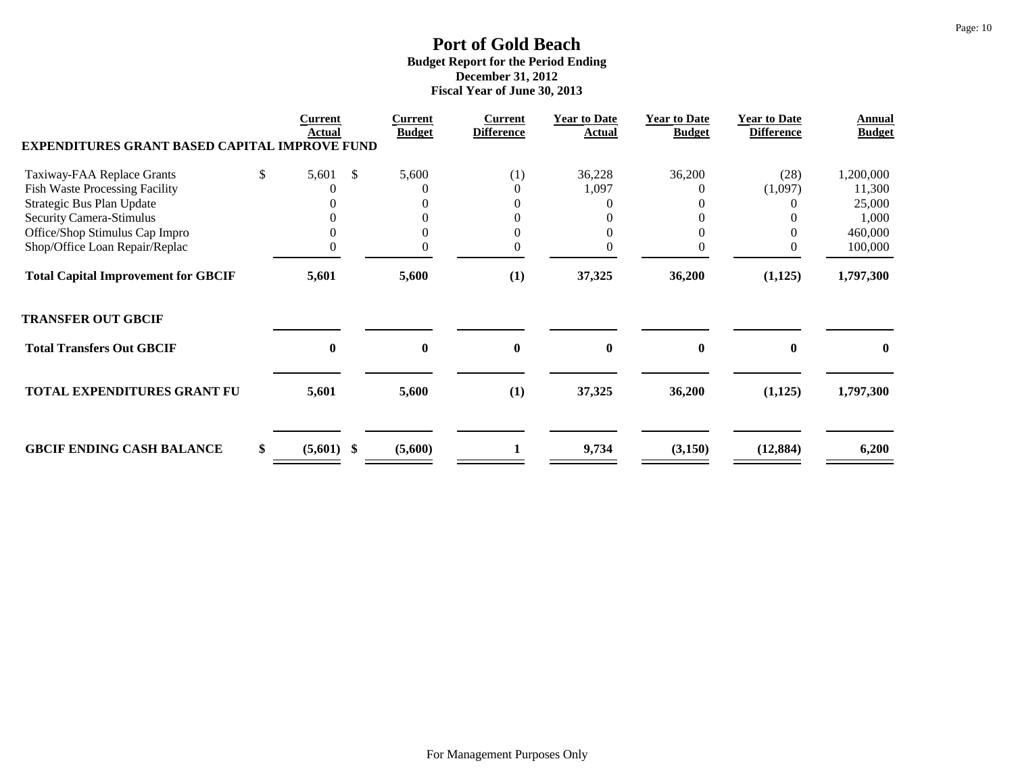| <b>EXPENDITURES GRANT BASED CAPITAL IMPROVE FUND</b> | Current<br><b>Actual</b> |               | <b>Current</b><br><b>Budget</b> | <b>Current</b><br><b>Difference</b> | <b>Year to Date</b><br>Actual | <b>Year to Date</b><br><b>Budget</b> | <b>Year to Date</b><br><b>Difference</b> | Annual<br><b>Budget</b> |
|------------------------------------------------------|--------------------------|---------------|---------------------------------|-------------------------------------|-------------------------------|--------------------------------------|------------------------------------------|-------------------------|
| Taxiway-FAA Replace Grants                           | \$<br>5,601              | <sup>\$</sup> | 5,600                           | (1)                                 | 36,228                        | 36,200                               | (28)                                     | 1,200,000               |
| <b>Fish Waste Processing Facility</b>                |                          |               |                                 | $\theta$                            | 1,097                         |                                      | (1,097)                                  | 11,300                  |
| Strategic Bus Plan Update                            |                          |               |                                 |                                     |                               |                                      |                                          | 25,000                  |
| Security Camera-Stimulus                             |                          |               |                                 |                                     |                               |                                      |                                          | 1,000                   |
| Office/Shop Stimulus Cap Impro                       |                          |               |                                 |                                     |                               |                                      |                                          | 460,000                 |
| Shop/Office Loan Repair/Replac                       |                          |               | 0                               |                                     |                               |                                      |                                          | 100,000                 |
| <b>Total Capital Improvement for GBCIF</b>           | 5,601                    |               | 5,600                           | (1)                                 | 37,325                        | 36,200                               | (1,125)                                  | 1,797,300               |
| <b>TRANSFER OUT GBCIF</b>                            |                          |               |                                 |                                     |                               |                                      |                                          |                         |
| <b>Total Transfers Out GBCIF</b>                     | $\bf{0}$                 |               | $\mathbf{0}$                    | $\mathbf 0$                         | 0                             | $\bf{0}$                             |                                          | $\mathbf{0}$            |
| <b>TOTAL EXPENDITURES GRANT FU</b>                   | 5,601                    |               | 5,600                           | (1)                                 | 37,325                        | 36,200                               | (1,125)                                  | 1,797,300               |
| <b>GBCIF ENDING CASH BALANCE</b>                     | \$<br>$(5,601)$ \$       |               | (5,600)                         |                                     | 9,734                         | (3,150)                              | (12, 884)                                | 6,200                   |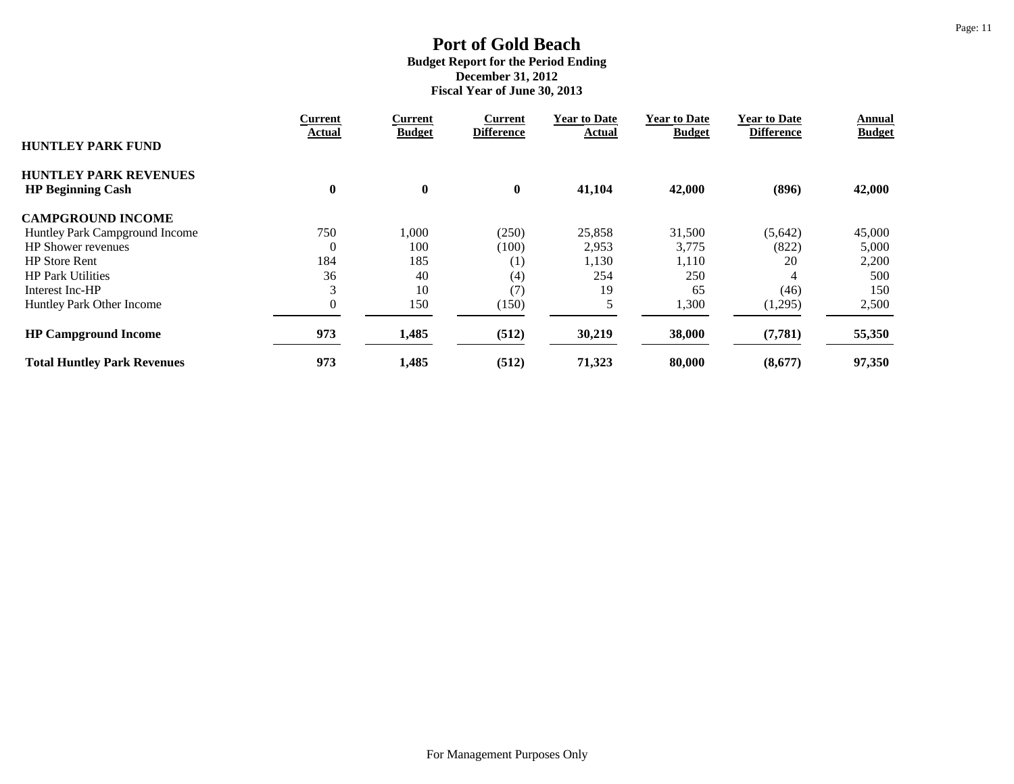|                                                          | <b>Current</b> | <b>Current</b> | Current           | <b>Year to Date</b> | <b>Year to Date</b> | <b>Year to Date</b> | Annual        |
|----------------------------------------------------------|----------------|----------------|-------------------|---------------------|---------------------|---------------------|---------------|
| <b>HUNTLEY PARK FUND</b>                                 | Actual         | <b>Budget</b>  | <b>Difference</b> | Actual              | <b>Budget</b>       | <b>Difference</b>   | <b>Budget</b> |
| <b>HUNTLEY PARK REVENUES</b><br><b>HP Beginning Cash</b> | $\bf{0}$       | $\bf{0}$       | $\bf{0}$          | 41,104              | 42,000              | (896)               | 42,000        |
|                                                          |                |                |                   |                     |                     |                     |               |
| <b>CAMPGROUND INCOME</b>                                 |                |                |                   |                     |                     |                     |               |
| Huntley Park Campground Income                           | 750            | 000,           | (250)             | 25,858              | 31,500              | (5,642)             | 45,000        |
| <b>HP</b> Shower revenues                                | $\theta$       | 100            | (100)             | 2,953               | 3,775               | (822)               | 5,000         |
| <b>HP</b> Store Rent                                     | 184            | 185            | (1)               | 1,130               | 1,110               | 20                  | 2,200         |
| <b>HP Park Utilities</b>                                 | 36             | 40             | (4)               | 254                 | 250                 | 4                   | 500           |
| Interest Inc-HP                                          | 3              | 10             | (7)               | 19                  | 65                  | (46)                | 150           |
| Huntley Park Other Income                                | $\overline{0}$ | 150            | (150)             |                     | 1,300               | (1,295)             | 2,500         |
| <b>HP Campground Income</b>                              | 973            | 1,485          | (512)             | 30,219              | 38,000              | (7, 781)            | 55,350        |
| <b>Total Huntley Park Revenues</b>                       | 973            | 1,485          | (512)             | 71,323              | 80,000              | (8,677)             | 97,350        |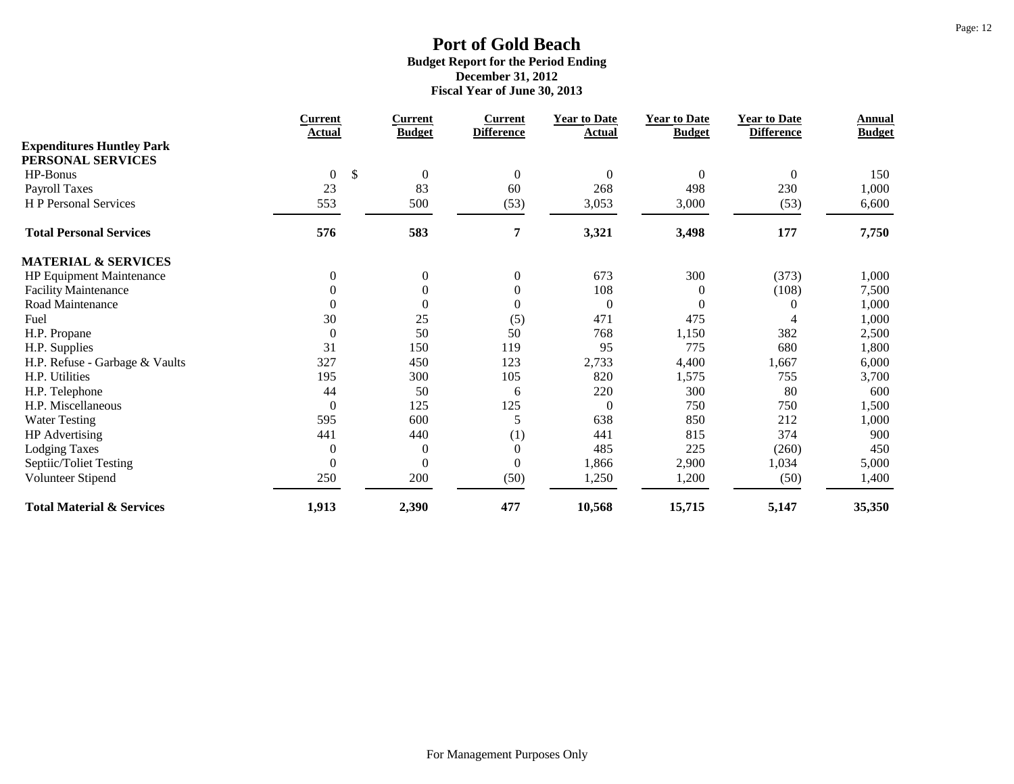|                                      | <b>Current</b>       | <b>Current</b>   | <b>Current</b>    | <b>Year to Date</b> | <b>Year to Date</b> | <b>Year to Date</b> | Annual        |
|--------------------------------------|----------------------|------------------|-------------------|---------------------|---------------------|---------------------|---------------|
| <b>Expenditures Huntley Park</b>     | Actual               | <b>Budget</b>    | <b>Difference</b> | <b>Actual</b>       | <b>Budget</b>       | <b>Difference</b>   | <b>Budget</b> |
| PERSONAL SERVICES                    |                      |                  |                   |                     |                     |                     |               |
| HP-Bonus                             | \$<br>$\overline{0}$ | $\boldsymbol{0}$ | $\boldsymbol{0}$  | $\theta$            | $\Omega$            | $\theta$            | 150           |
| Payroll Taxes                        | 23                   | 83               | 60                | 268                 | 498                 | 230                 | 1,000         |
| H P Personal Services                | 553                  | 500              | (53)              | 3,053               | 3,000               | (53)                | 6,600         |
| <b>Total Personal Services</b>       | 576                  | 583              | 7                 | 3,321               | 3,498               | 177                 | 7,750         |
| <b>MATERIAL &amp; SERVICES</b>       |                      |                  |                   |                     |                     |                     |               |
| HP Equipment Maintenance             | $\theta$             | $\boldsymbol{0}$ | $\boldsymbol{0}$  | 673                 | 300                 | (373)               | 1,000         |
| <b>Facility Maintenance</b>          | $\mathbf{0}$         | $\boldsymbol{0}$ | $\boldsymbol{0}$  | 108                 | $\theta$            | (108)               | 7,500         |
| Road Maintenance                     | $\mathbf{0}$         | $\overline{0}$   | $\boldsymbol{0}$  | $\overline{0}$      | $\Omega$            |                     | 1,000         |
| Fuel                                 | 30                   | 25               | (5)               | 471                 | 475                 |                     | 1,000         |
| H.P. Propane                         | $\mathbf{0}$         | 50               | 50                | 768                 | 1,150               | 382                 | 2,500         |
| H.P. Supplies                        | 31                   | 150              | 119               | 95                  | 775                 | 680                 | 1,800         |
| H.P. Refuse - Garbage & Vaults       | 327                  | 450              | 123               | 2,733               | 4,400               | 1,667               | 6,000         |
| H.P. Utilities                       | 195                  | 300              | 105               | 820                 | 1,575               | 755                 | 3,700         |
| H.P. Telephone                       | 44                   | 50               | 6                 | 220                 | 300                 | 80                  | 600           |
| H.P. Miscellaneous                   | $\boldsymbol{0}$     | 125              | 125               | $\overline{0}$      | 750                 | 750                 | 1,500         |
| <b>Water Testing</b>                 | 595                  | 600              | 5                 | 638                 | 850                 | 212                 | 1,000         |
| <b>HP</b> Advertising                | 441                  | 440              | (1)               | 441                 | 815                 | 374                 | 900           |
| <b>Lodging Taxes</b>                 | $\boldsymbol{0}$     | $\overline{0}$   | $\boldsymbol{0}$  | 485                 | 225                 | (260)               | 450           |
| Septiic/Toliet Testing               | $\theta$             | $\overline{0}$   | $\boldsymbol{0}$  | 1,866               | 2,900               | 1,034               | 5,000         |
| Volunteer Stipend                    | 250                  | 200              | (50)              | 1,250               | 1,200               | (50)                | 1,400         |
| <b>Total Material &amp; Services</b> | 1,913                | 2,390            | 477               | 10,568              | 15,715              | 5,147               | 35,350        |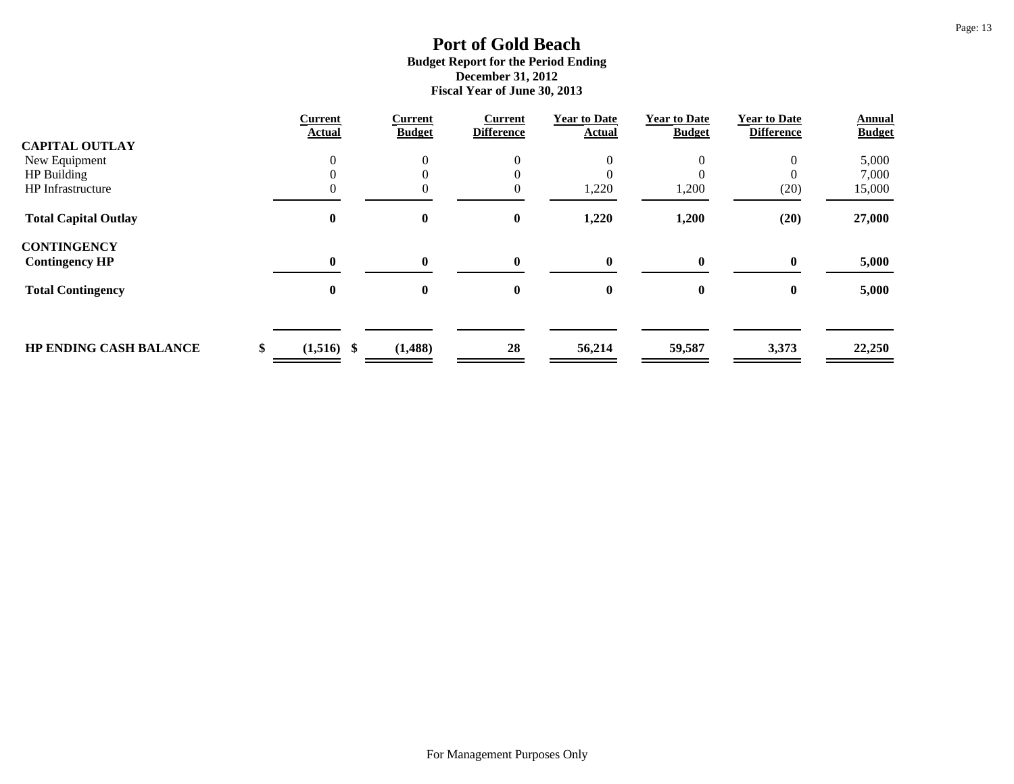|                               | <b>Current</b>     | <b>Current</b><br><b>Budget</b> | <b>Current</b><br><b>Difference</b> | <b>Year to Date</b><br>Actual | <b>Year to Date</b><br><b>Budget</b> | <b>Year to Date</b><br><b>Difference</b> | <b>Annual</b> |
|-------------------------------|--------------------|---------------------------------|-------------------------------------|-------------------------------|--------------------------------------|------------------------------------------|---------------|
| <b>CAPITAL OUTLAY</b>         | <b>Actual</b>      |                                 |                                     |                               |                                      |                                          | <b>Budget</b> |
| New Equipment                 | $\theta$           | $\Omega$                        | $\overline{0}$                      |                               | 0                                    | $\mathbf{0}$                             | 5,000         |
| HP Building                   |                    |                                 | 0                                   |                               |                                      |                                          | 7,000         |
| <b>HP</b> Infrastructure      |                    |                                 | $\overline{0}$                      | 1,220                         | 1,200                                | (20)                                     | 15,000        |
| <b>Total Capital Outlay</b>   | $\bf{0}$           | $\bf{0}$                        | $\boldsymbol{0}$                    | 1,220                         | 1,200                                | (20)                                     | 27,000        |
| <b>CONTINGENCY</b>            |                    |                                 |                                     |                               |                                      |                                          |               |
| <b>Contingency HP</b>         | $\mathbf{0}$       | $\mathbf{0}$                    | $\mathbf{0}$                        | 0                             | 0                                    | $\mathbf{0}$                             | 5,000         |
| <b>Total Contingency</b>      | $\bf{0}$           | $\bf{0}$                        | $\bf{0}$                            | $\bf{0}$                      | $\bf{0}$                             | $\mathbf{0}$                             | 5,000         |
|                               |                    |                                 |                                     |                               |                                      |                                          |               |
| <b>HP ENDING CASH BALANCE</b> | $(1,516)$ \$<br>\$ | (1, 488)                        | 28                                  | 56,214                        | 59,587                               | 3,373                                    | 22,250        |